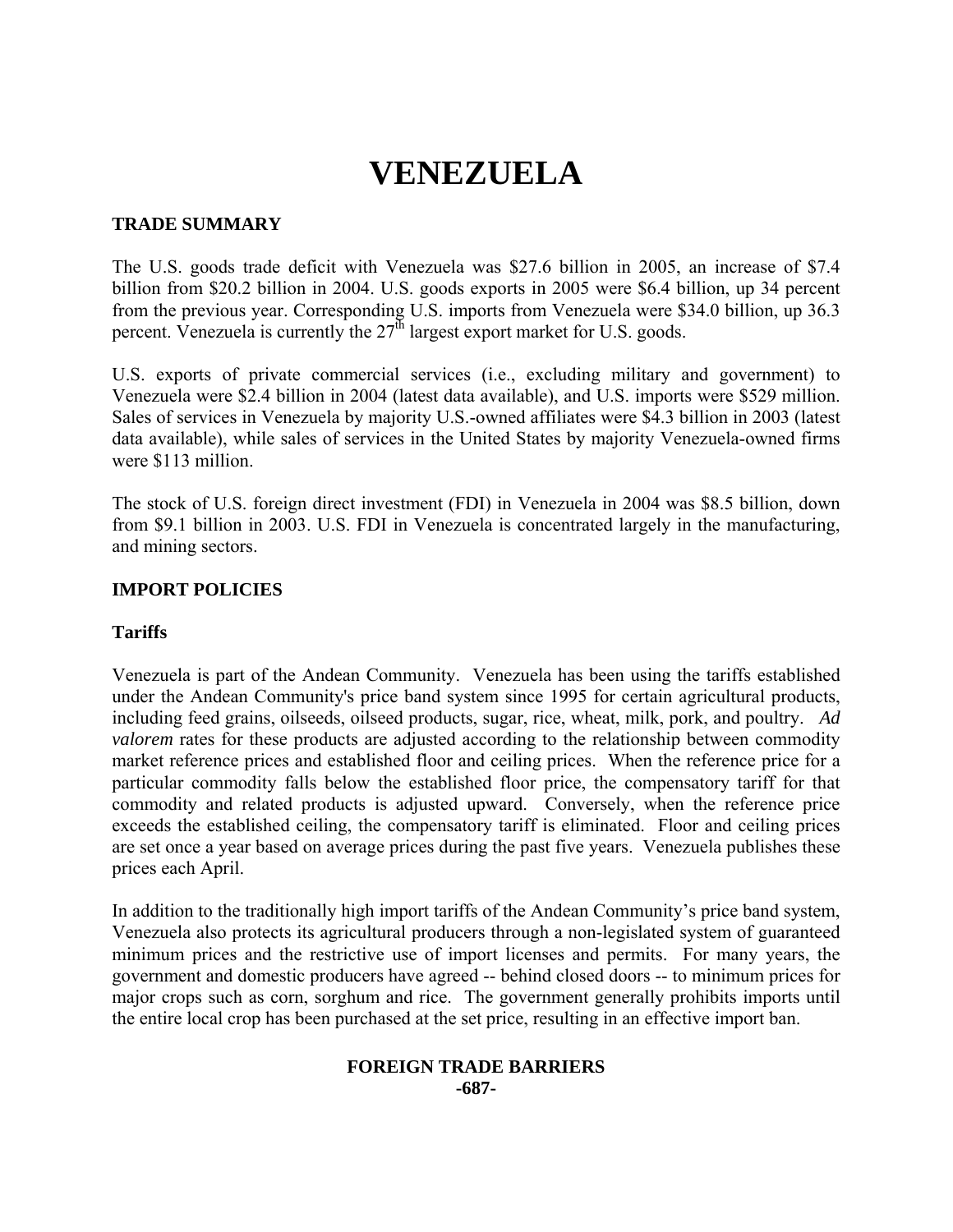# **VENEZUELA**

## **TRADE SUMMARY**

The U.S. goods trade deficit with Venezuela was \$27.6 billion in 2005, an increase of \$7.4 billion from \$20.2 billion in 2004. U.S. goods exports in 2005 were \$6.4 billion, up 34 percent from the previous year. Corresponding U.S. imports from Venezuela were \$34.0 billion, up 36.3 percent. Venezuela is currently the  $27<sup>th</sup>$  largest export market for U.S. goods.

U.S. exports of private commercial services (i.e., excluding military and government) to Venezuela were \$2.4 billion in 2004 (latest data available), and U.S. imports were \$529 million. Sales of services in Venezuela by majority U.S.-owned affiliates were \$4.3 billion in 2003 (latest data available), while sales of services in the United States by majority Venezuela-owned firms were \$113 million.

The stock of U.S. foreign direct investment (FDI) in Venezuela in 2004 was \$8.5 billion, down from \$9.1 billion in 2003. U.S. FDI in Venezuela is concentrated largely in the manufacturing, and mining sectors.

## **IMPORT POLICIES**

#### **Tariffs**

Venezuela is part of the Andean Community. Venezuela has been using the tariffs established under the Andean Community's price band system since 1995 for certain agricultural products, including feed grains, oilseeds, oilseed products, sugar, rice, wheat, milk, pork, and poultry. *Ad valorem* rates for these products are adjusted according to the relationship between commodity market reference prices and established floor and ceiling prices. When the reference price for a particular commodity falls below the established floor price, the compensatory tariff for that commodity and related products is adjusted upward. Conversely, when the reference price exceeds the established ceiling, the compensatory tariff is eliminated. Floor and ceiling prices are set once a year based on average prices during the past five years. Venezuela publishes these prices each April.

In addition to the traditionally high import tariffs of the Andean Community's price band system, Venezuela also protects its agricultural producers through a non-legislated system of guaranteed minimum prices and the restrictive use of import licenses and permits. For many years, the government and domestic producers have agreed -- behind closed doors -- to minimum prices for major crops such as corn, sorghum and rice. The government generally prohibits imports until the entire local crop has been purchased at the set price, resulting in an effective import ban.

#### **FOREIGN TRADE BARRIERS -687-**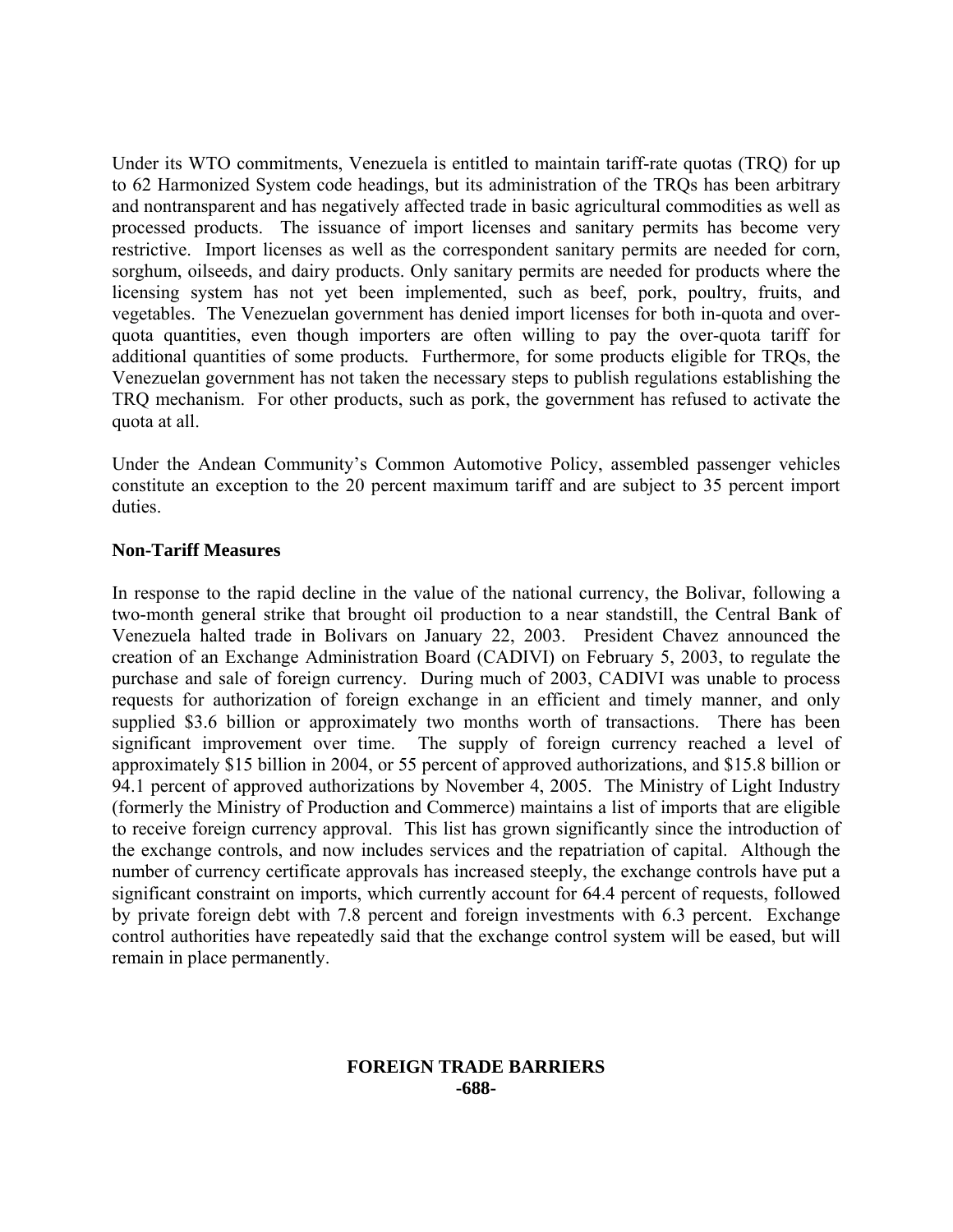Under its WTO commitments, Venezuela is entitled to maintain tariff-rate quotas (TRQ) for up to 62 Harmonized System code headings, but its administration of the TRQs has been arbitrary and nontransparent and has negatively affected trade in basic agricultural commodities as well as processed products. The issuance of import licenses and sanitary permits has become very restrictive. Import licenses as well as the correspondent sanitary permits are needed for corn, sorghum, oilseeds, and dairy products. Only sanitary permits are needed for products where the licensing system has not yet been implemented, such as beef, pork, poultry, fruits, and vegetables. The Venezuelan government has denied import licenses for both in-quota and overquota quantities, even though importers are often willing to pay the over-quota tariff for additional quantities of some products*.* Furthermore, for some products eligible for TRQs, the Venezuelan government has not taken the necessary steps to publish regulations establishing the TRQ mechanism. For other products, such as pork, the government has refused to activate the quota at all.

Under the Andean Community's Common Automotive Policy, assembled passenger vehicles constitute an exception to the 20 percent maximum tariff and are subject to 35 percent import duties.

## **Non-Tariff Measures**

In response to the rapid decline in the value of the national currency, the Bolivar, following a two-month general strike that brought oil production to a near standstill, the Central Bank of Venezuela halted trade in Bolivars on January 22, 2003. President Chavez announced the creation of an Exchange Administration Board (CADIVI) on February 5, 2003, to regulate the purchase and sale of foreign currency. During much of 2003, CADIVI was unable to process requests for authorization of foreign exchange in an efficient and timely manner, and only supplied \$3.6 billion or approximately two months worth of transactions. There has been significant improvement over time. The supply of foreign currency reached a level of approximately \$15 billion in 2004, or 55 percent of approved authorizations, and \$15.8 billion or 94.1 percent of approved authorizations by November 4, 2005. The Ministry of Light Industry (formerly the Ministry of Production and Commerce) maintains a list of imports that are eligible to receive foreign currency approval. This list has grown significantly since the introduction of the exchange controls, and now includes services and the repatriation of capital. Although the number of currency certificate approvals has increased steeply, the exchange controls have put a significant constraint on imports, which currently account for 64.4 percent of requests, followed by private foreign debt with 7.8 percent and foreign investments with 6.3 percent. Exchange control authorities have repeatedly said that the exchange control system will be eased, but will remain in place permanently.

#### **FOREIGN TRADE BARRIERS -688-**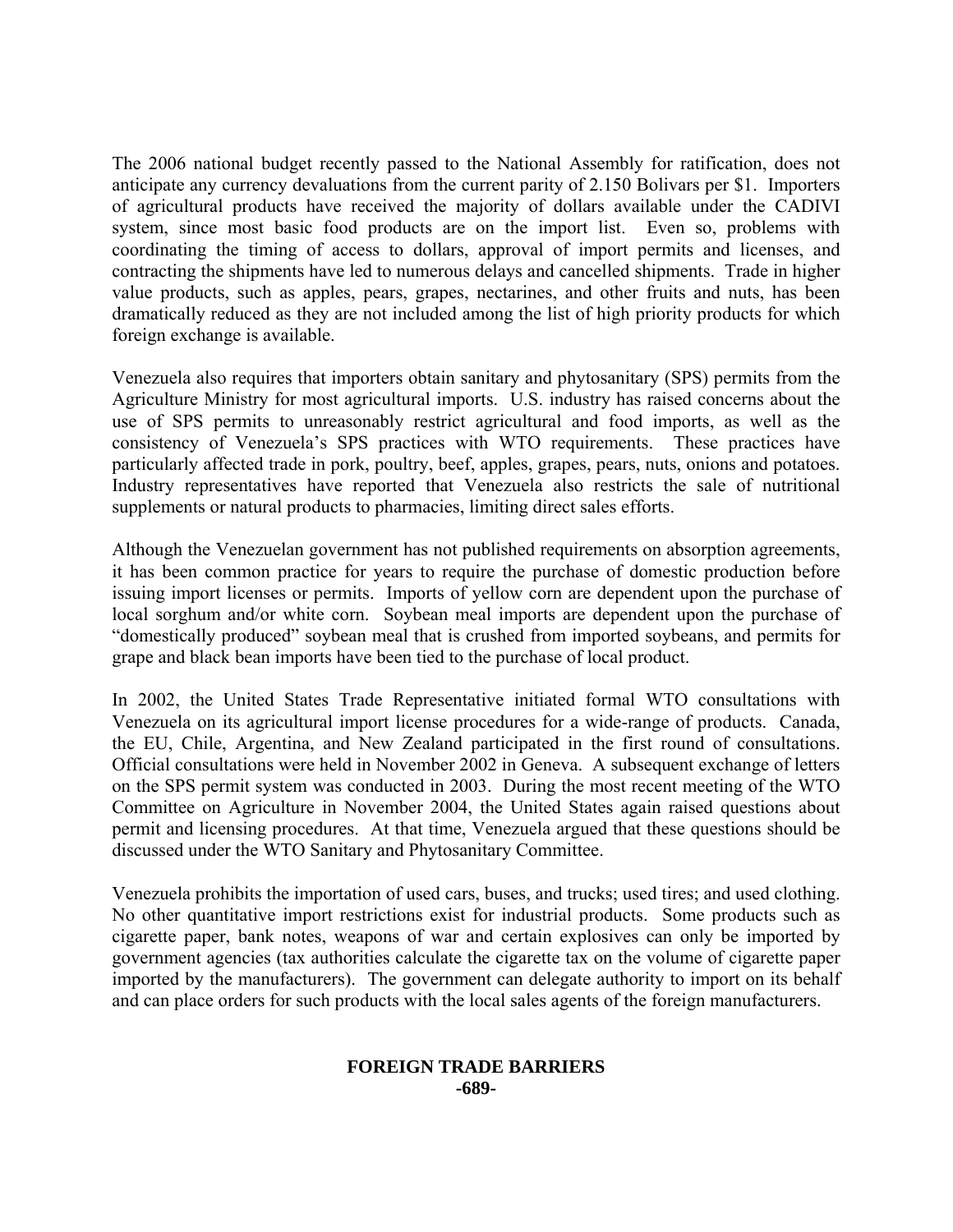The 2006 national budget recently passed to the National Assembly for ratification, does not anticipate any currency devaluations from the current parity of 2.150 Bolivars per \$1. Importers of agricultural products have received the majority of dollars available under the CADIVI system, since most basic food products are on the import list. Even so, problems with coordinating the timing of access to dollars, approval of import permits and licenses, and contracting the shipments have led to numerous delays and cancelled shipments. Trade in higher value products, such as apples, pears, grapes, nectarines, and other fruits and nuts, has been dramatically reduced as they are not included among the list of high priority products for which foreign exchange is available.

Venezuela also requires that importers obtain sanitary and phytosanitary (SPS) permits from the Agriculture Ministry for most agricultural imports. U.S. industry has raised concerns about the use of SPS permits to unreasonably restrict agricultural and food imports, as well as the consistency of Venezuela's SPS practices with WTO requirements. These practices have particularly affected trade in pork, poultry, beef, apples, grapes, pears, nuts, onions and potatoes. Industry representatives have reported that Venezuela also restricts the sale of nutritional supplements or natural products to pharmacies, limiting direct sales efforts.

Although the Venezuelan government has not published requirements on absorption agreements, it has been common practice for years to require the purchase of domestic production before issuing import licenses or permits. Imports of yellow corn are dependent upon the purchase of local sorghum and/or white corn. Soybean meal imports are dependent upon the purchase of "domestically produced" soybean meal that is crushed from imported soybeans, and permits for grape and black bean imports have been tied to the purchase of local product.

In 2002, the United States Trade Representative initiated formal WTO consultations with Venezuela on its agricultural import license procedures for a wide-range of products. Canada, the EU, Chile, Argentina, and New Zealand participated in the first round of consultations. Official consultations were held in November 2002 in Geneva. A subsequent exchange of letters on the SPS permit system was conducted in 2003. During the most recent meeting of the WTO Committee on Agriculture in November 2004, the United States again raised questions about permit and licensing procedures. At that time, Venezuela argued that these questions should be discussed under the WTO Sanitary and Phytosanitary Committee.

Venezuela prohibits the importation of used cars, buses, and trucks; used tires; and used clothing. No other quantitative import restrictions exist for industrial products. Some products such as cigarette paper, bank notes, weapons of war and certain explosives can only be imported by government agencies (tax authorities calculate the cigarette tax on the volume of cigarette paper imported by the manufacturers). The government can delegate authority to import on its behalf and can place orders for such products with the local sales agents of the foreign manufacturers.

#### **FOREIGN TRADE BARRIERS -689-**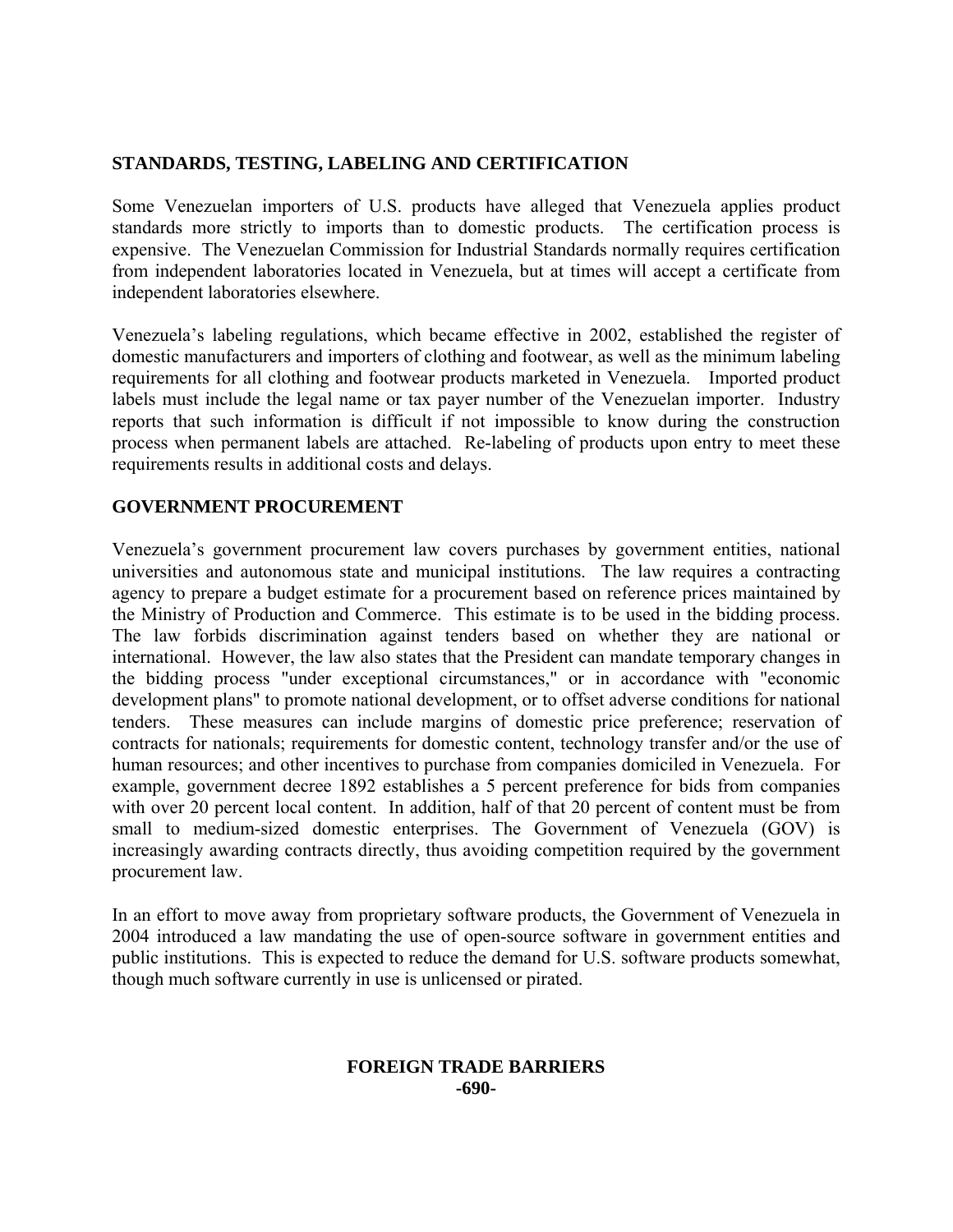# **STANDARDS, TESTING, LABELING AND CERTIFICATION**

Some Venezuelan importers of U.S. products have alleged that Venezuela applies product standards more strictly to imports than to domestic products. The certification process is expensive. The Venezuelan Commission for Industrial Standards normally requires certification from independent laboratories located in Venezuela, but at times will accept a certificate from independent laboratories elsewhere.

Venezuela's labeling regulations, which became effective in 2002, established the register of domestic manufacturers and importers of clothing and footwear, as well as the minimum labeling requirements for all clothing and footwear products marketed in Venezuela. Imported product labels must include the legal name or tax payer number of the Venezuelan importer. Industry reports that such information is difficult if not impossible to know during the construction process when permanent labels are attached. Re-labeling of products upon entry to meet these requirements results in additional costs and delays.

# **GOVERNMENT PROCUREMENT**

Venezuela's government procurement law covers purchases by government entities, national universities and autonomous state and municipal institutions. The law requires a contracting agency to prepare a budget estimate for a procurement based on reference prices maintained by the Ministry of Production and Commerce. This estimate is to be used in the bidding process. The law forbids discrimination against tenders based on whether they are national or international. However, the law also states that the President can mandate temporary changes in the bidding process "under exceptional circumstances," or in accordance with "economic development plans" to promote national development, or to offset adverse conditions for national tenders. These measures can include margins of domestic price preference; reservation of contracts for nationals; requirements for domestic content, technology transfer and/or the use of human resources; and other incentives to purchase from companies domiciled in Venezuela. For example, government decree 1892 establishes a 5 percent preference for bids from companies with over 20 percent local content. In addition, half of that 20 percent of content must be from small to medium-sized domestic enterprises. The Government of Venezuela (GOV) is increasingly awarding contracts directly, thus avoiding competition required by the government procurement law.

In an effort to move away from proprietary software products, the Government of Venezuela in 2004 introduced a law mandating the use of open-source software in government entities and public institutions. This is expected to reduce the demand for U.S. software products somewhat, though much software currently in use is unlicensed or pirated.

## **FOREIGN TRADE BARRIERS -690-**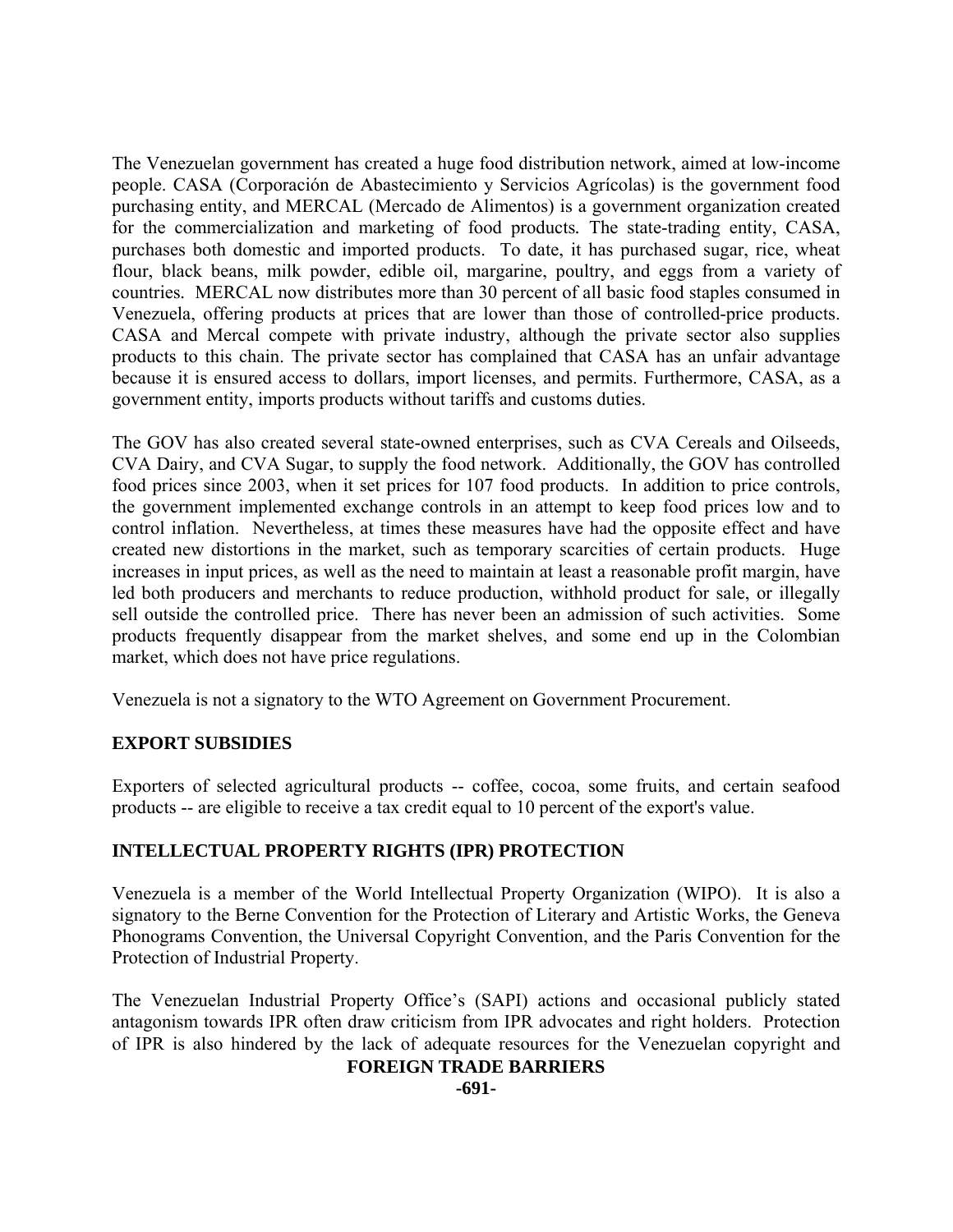The Venezuelan government has created a huge food distribution network, aimed at low-income people. CASA (Corporación de Abastecimiento y Servicios Agrícolas) is the government food purchasing entity, and MERCAL (Mercado de Alimentos) is a government organization created for the commercialization and marketing of food products*.* The state-trading entity, CASA, purchases both domestic and imported products. To date, it has purchased sugar, rice, wheat flour, black beans, milk powder, edible oil, margarine, poultry, and eggs from a variety of countries*.* MERCAL now distributes more than 30 percent of all basic food staples consumed in Venezuela, offering products at prices that are lower than those of controlled-price products. CASA and Mercal compete with private industry, although the private sector also supplies products to this chain. The private sector has complained that CASA has an unfair advantage because it is ensured access to dollars, import licenses, and permits. Furthermore, CASA, as a government entity, imports products without tariffs and customs duties.

The GOV has also created several state-owned enterprises, such as CVA Cereals and Oilseeds, CVA Dairy, and CVA Sugar, to supply the food network. Additionally, the GOV has controlled food prices since 2003, when it set prices for 107 food products. In addition to price controls, the government implemented exchange controls in an attempt to keep food prices low and to control inflation. Nevertheless, at times these measures have had the opposite effect and have created new distortions in the market, such as temporary scarcities of certain products. Huge increases in input prices, as well as the need to maintain at least a reasonable profit margin, have led both producers and merchants to reduce production, withhold product for sale, or illegally sell outside the controlled price. There has never been an admission of such activities. Some products frequently disappear from the market shelves, and some end up in the Colombian market, which does not have price regulations.

Venezuela is not a signatory to the WTO Agreement on Government Procurement.

# **EXPORT SUBSIDIES**

Exporters of selected agricultural products -- coffee, cocoa, some fruits, and certain seafood products -- are eligible to receive a tax credit equal to 10 percent of the export's value.

# **INTELLECTUAL PROPERTY RIGHTS (IPR) PROTECTION**

Venezuela is a member of the World Intellectual Property Organization (WIPO). It is also a signatory to the Berne Convention for the Protection of Literary and Artistic Works, the Geneva Phonograms Convention, the Universal Copyright Convention, and the Paris Convention for the Protection of Industrial Property.

The Venezuelan Industrial Property Office's (SAPI) actions and occasional publicly stated antagonism towards IPR often draw criticism from IPR advocates and right holders. Protection of IPR is also hindered by the lack of adequate resources for the Venezuelan copyright and

# **FOREIGN TRADE BARRIERS**

**-691-**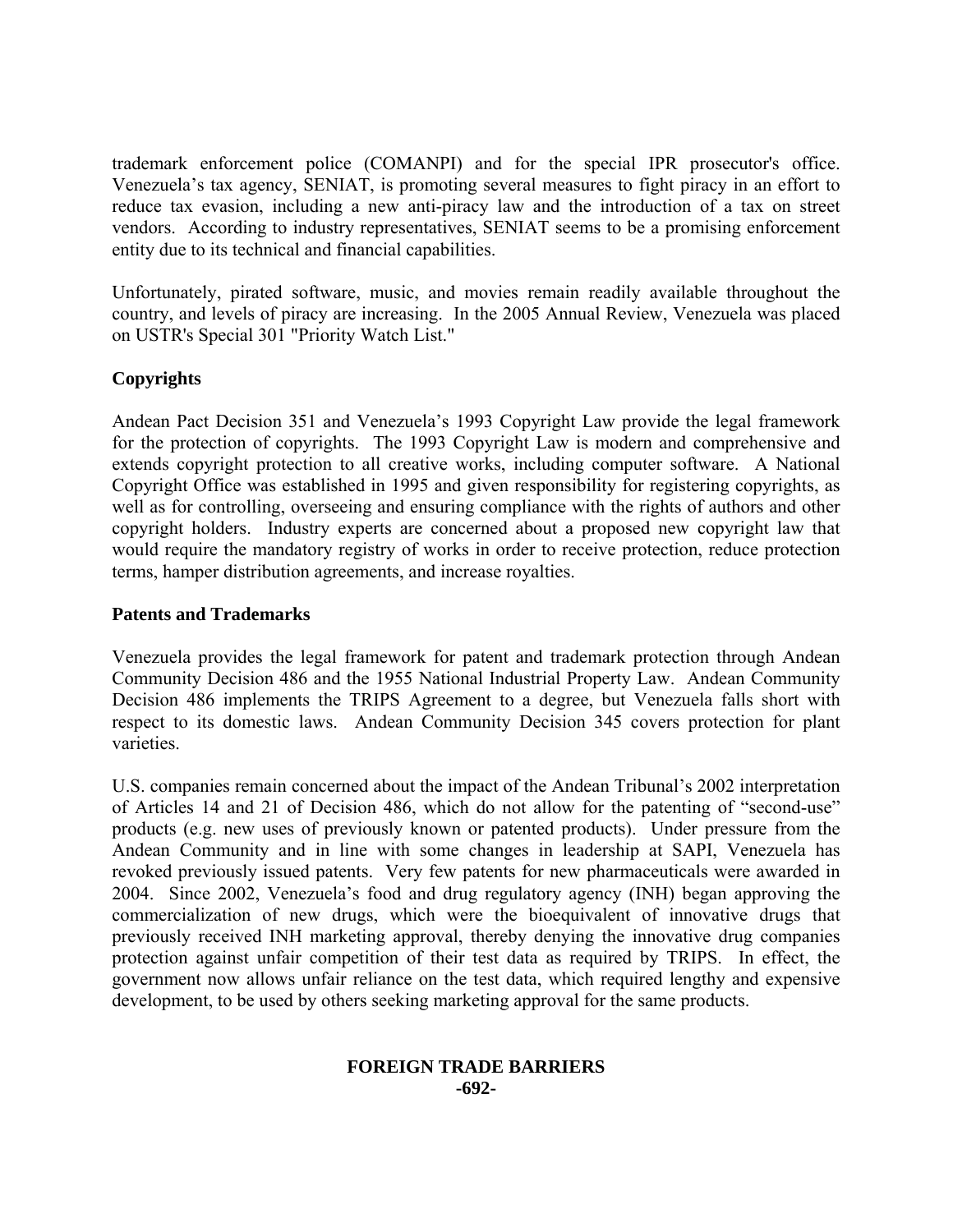trademark enforcement police (COMANPI) and for the special IPR prosecutor's office. Venezuela's tax agency, SENIAT, is promoting several measures to fight piracy in an effort to reduce tax evasion, including a new anti-piracy law and the introduction of a tax on street vendors. According to industry representatives, SENIAT seems to be a promising enforcement entity due to its technical and financial capabilities.

Unfortunately, pirated software, music, and movies remain readily available throughout the country, and levels of piracy are increasing. In the 2005 Annual Review, Venezuela was placed on USTR's Special 301 "Priority Watch List."

# **Copyrights**

Andean Pact Decision 351 and Venezuela's 1993 Copyright Law provide the legal framework for the protection of copyrights. The 1993 Copyright Law is modern and comprehensive and extends copyright protection to all creative works, including computer software. A National Copyright Office was established in 1995 and given responsibility for registering copyrights, as well as for controlling, overseeing and ensuring compliance with the rights of authors and other copyright holders. Industry experts are concerned about a proposed new copyright law that would require the mandatory registry of works in order to receive protection, reduce protection terms, hamper distribution agreements, and increase royalties.

# **Patents and Trademarks**

Venezuela provides the legal framework for patent and trademark protection through Andean Community Decision 486 and the 1955 National Industrial Property Law. Andean Community Decision 486 implements the TRIPS Agreement to a degree, but Venezuela falls short with respect to its domestic laws. Andean Community Decision 345 covers protection for plant varieties.

U.S. companies remain concerned about the impact of the Andean Tribunal's 2002 interpretation of Articles 14 and 21 of Decision 486, which do not allow for the patenting of "second-use" products (e.g. new uses of previously known or patented products). Under pressure from the Andean Community and in line with some changes in leadership at SAPI, Venezuela has revoked previously issued patents. Very few patents for new pharmaceuticals were awarded in 2004. Since 2002, Venezuela's food and drug regulatory agency (INH) began approving the commercialization of new drugs, which were the bioequivalent of innovative drugs that previously received INH marketing approval, thereby denying the innovative drug companies protection against unfair competition of their test data as required by TRIPS. In effect, the government now allows unfair reliance on the test data, which required lengthy and expensive development, to be used by others seeking marketing approval for the same products.

## **FOREIGN TRADE BARRIERS -692-**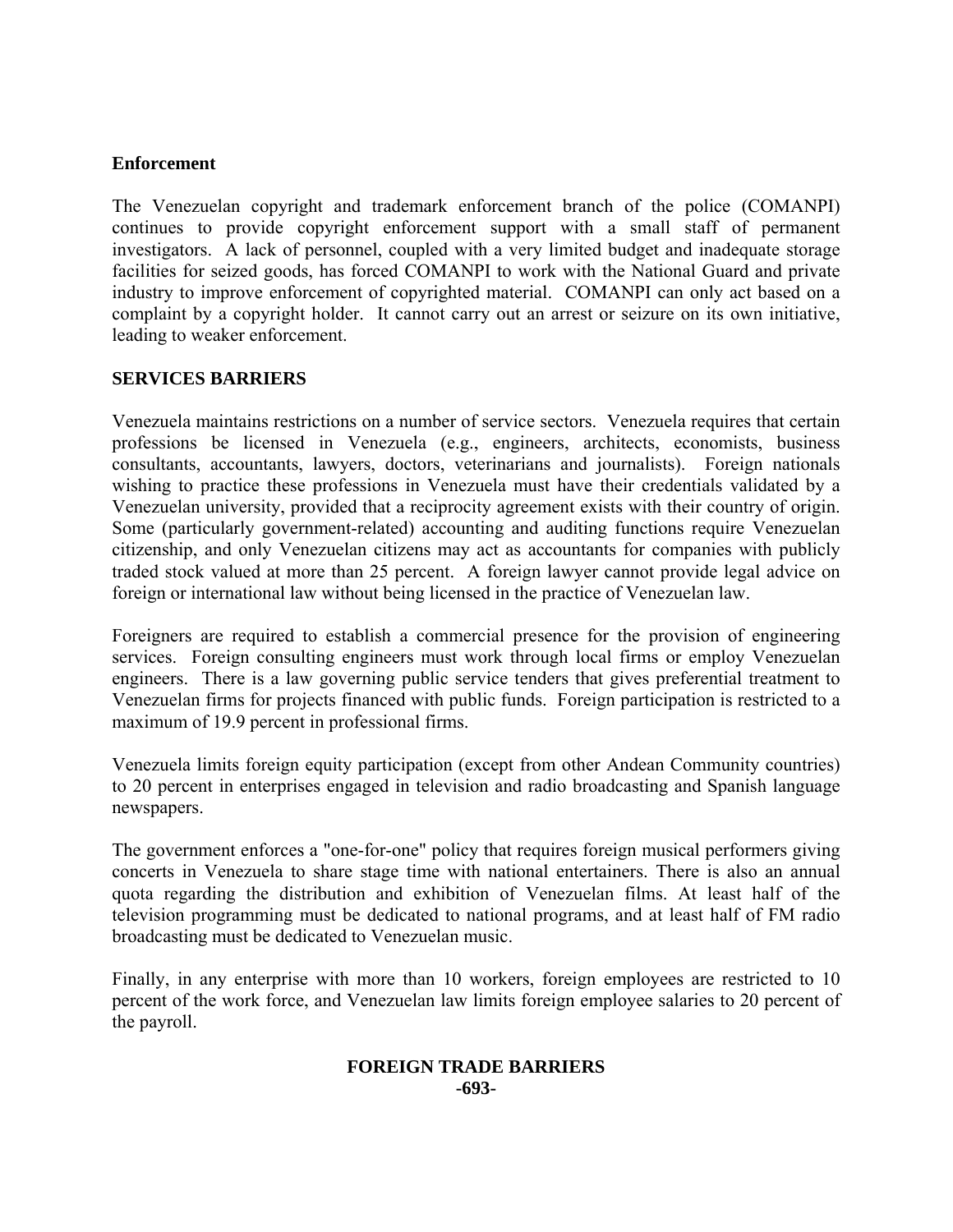## **Enforcement**

The Venezuelan copyright and trademark enforcement branch of the police (COMANPI) continues to provide copyright enforcement support with a small staff of permanent investigators. A lack of personnel, coupled with a very limited budget and inadequate storage facilities for seized goods, has forced COMANPI to work with the National Guard and private industry to improve enforcement of copyrighted material. COMANPI can only act based on a complaint by a copyright holder. It cannot carry out an arrest or seizure on its own initiative, leading to weaker enforcement.

## **SERVICES BARRIERS**

Venezuela maintains restrictions on a number of service sectors. Venezuela requires that certain professions be licensed in Venezuela (e.g., engineers, architects, economists, business consultants, accountants, lawyers, doctors, veterinarians and journalists). Foreign nationals wishing to practice these professions in Venezuela must have their credentials validated by a Venezuelan university, provided that a reciprocity agreement exists with their country of origin. Some (particularly government-related) accounting and auditing functions require Venezuelan citizenship, and only Venezuelan citizens may act as accountants for companies with publicly traded stock valued at more than 25 percent. A foreign lawyer cannot provide legal advice on foreign or international law without being licensed in the practice of Venezuelan law.

Foreigners are required to establish a commercial presence for the provision of engineering services. Foreign consulting engineers must work through local firms or employ Venezuelan engineers. There is a law governing public service tenders that gives preferential treatment to Venezuelan firms for projects financed with public funds. Foreign participation is restricted to a maximum of 19.9 percent in professional firms.

Venezuela limits foreign equity participation (except from other Andean Community countries) to 20 percent in enterprises engaged in television and radio broadcasting and Spanish language newspapers.

The government enforces a "one-for-one" policy that requires foreign musical performers giving concerts in Venezuela to share stage time with national entertainers. There is also an annual quota regarding the distribution and exhibition of Venezuelan films. At least half of the television programming must be dedicated to national programs, and at least half of FM radio broadcasting must be dedicated to Venezuelan music.

Finally, in any enterprise with more than 10 workers, foreign employees are restricted to 10 percent of the work force, and Venezuelan law limits foreign employee salaries to 20 percent of the payroll.

#### **FOREIGN TRADE BARRIERS -693-**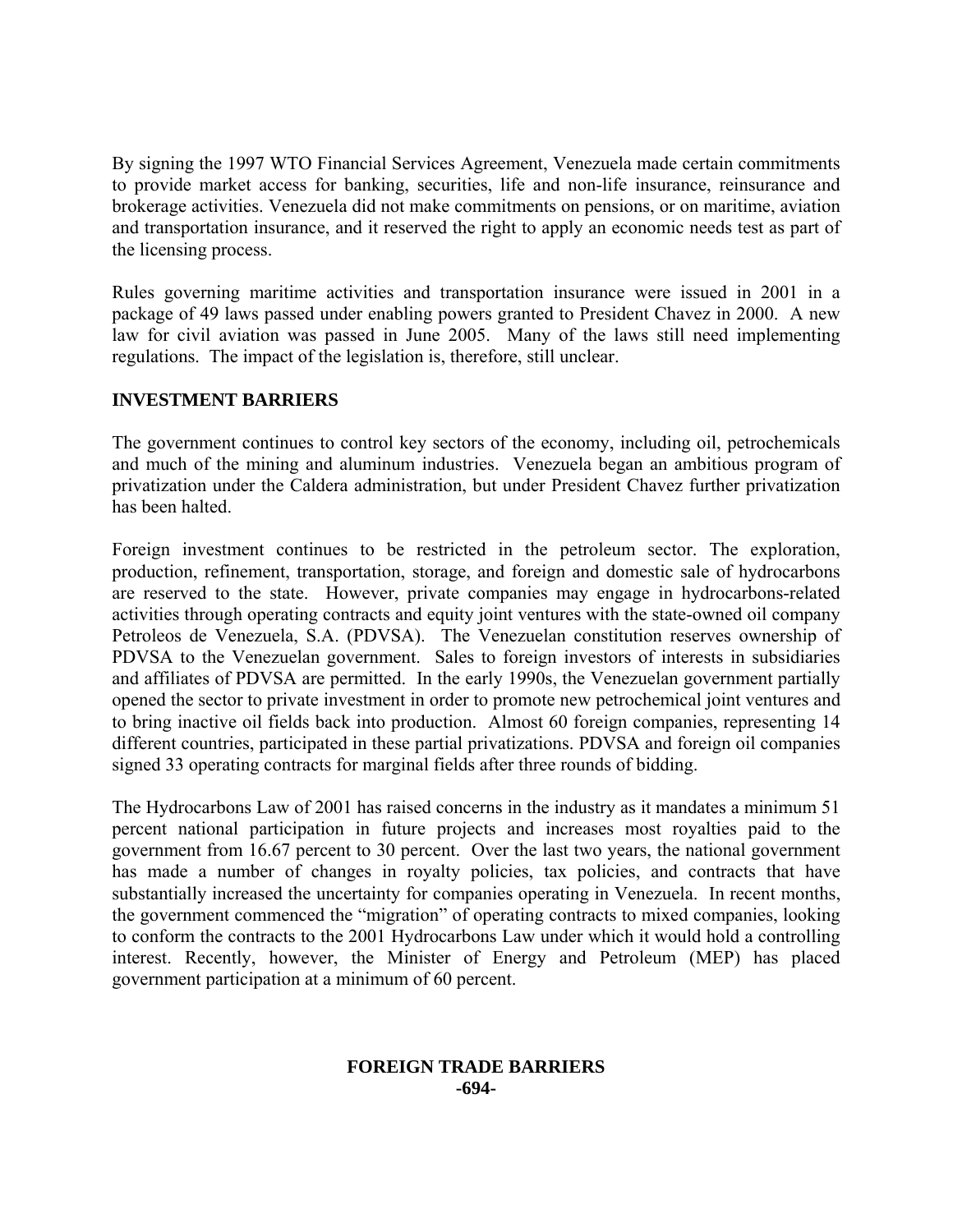By signing the 1997 WTO Financial Services Agreement, Venezuela made certain commitments to provide market access for banking, securities, life and non-life insurance, reinsurance and brokerage activities. Venezuela did not make commitments on pensions, or on maritime, aviation and transportation insurance, and it reserved the right to apply an economic needs test as part of the licensing process.

Rules governing maritime activities and transportation insurance were issued in 2001 in a package of 49 laws passed under enabling powers granted to President Chavez in 2000. A new law for civil aviation was passed in June 2005. Many of the laws still need implementing regulations. The impact of the legislation is, therefore, still unclear.

# **INVESTMENT BARRIERS**

The government continues to control key sectors of the economy, including oil, petrochemicals and much of the mining and aluminum industries. Venezuela began an ambitious program of privatization under the Caldera administration, but under President Chavez further privatization has been halted.

Foreign investment continues to be restricted in the petroleum sector. The exploration, production, refinement, transportation, storage, and foreign and domestic sale of hydrocarbons are reserved to the state. However, private companies may engage in hydrocarbons-related activities through operating contracts and equity joint ventures with the state-owned oil company Petroleos de Venezuela, S.A. (PDVSA). The Venezuelan constitution reserves ownership of PDVSA to the Venezuelan government. Sales to foreign investors of interests in subsidiaries and affiliates of PDVSA are permitted. In the early 1990s, the Venezuelan government partially opened the sector to private investment in order to promote new petrochemical joint ventures and to bring inactive oil fields back into production. Almost 60 foreign companies, representing 14 different countries, participated in these partial privatizations. PDVSA and foreign oil companies signed 33 operating contracts for marginal fields after three rounds of bidding.

The Hydrocarbons Law of 2001 has raised concerns in the industry as it mandates a minimum 51 percent national participation in future projects and increases most royalties paid to the government from 16.67 percent to 30 percent. Over the last two years, the national government has made a number of changes in royalty policies, tax policies, and contracts that have substantially increased the uncertainty for companies operating in Venezuela. In recent months, the government commenced the "migration" of operating contracts to mixed companies, looking to conform the contracts to the 2001 Hydrocarbons Law under which it would hold a controlling interest. Recently, however, the Minister of Energy and Petroleum (MEP) has placed government participation at a minimum of 60 percent.

## **FOREIGN TRADE BARRIERS -694-**